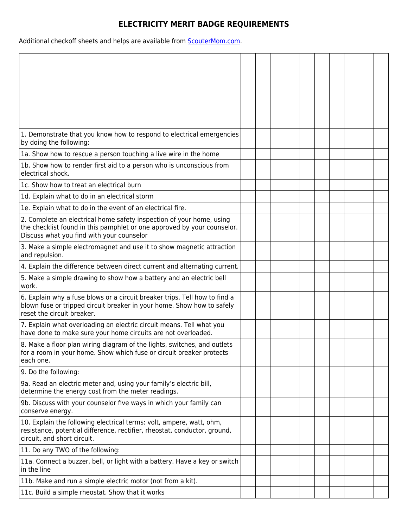## **ELECTRICITY MERIT BADGE REQUIREMENTS**

Additional checkoff sheets and helps are available from **ScouterMom.com**.

| 1. Demonstrate that you know how to respond to electrical emergencies<br>by doing the following:                                                                                   |  |  |  |  |  |
|------------------------------------------------------------------------------------------------------------------------------------------------------------------------------------|--|--|--|--|--|
| 1a. Show how to rescue a person touching a live wire in the home                                                                                                                   |  |  |  |  |  |
| 1b. Show how to render first aid to a person who is unconscious from<br>electrical shock.                                                                                          |  |  |  |  |  |
| 1c. Show how to treat an electrical burn                                                                                                                                           |  |  |  |  |  |
| 1d. Explain what to do in an electrical storm                                                                                                                                      |  |  |  |  |  |
| 1e. Explain what to do in the event of an electrical fire.                                                                                                                         |  |  |  |  |  |
| 2. Complete an electrical home safety inspection of your home, using                                                                                                               |  |  |  |  |  |
| the checklist found in this pamphlet or one approved by your counselor.                                                                                                            |  |  |  |  |  |
| Discuss what you find with your counselor                                                                                                                                          |  |  |  |  |  |
| 3. Make a simple electromagnet and use it to show magnetic attraction<br>and repulsion.                                                                                            |  |  |  |  |  |
| 4. Explain the difference between direct current and alternating current.                                                                                                          |  |  |  |  |  |
| 5. Make a simple drawing to show how a battery and an electric bell<br>work.                                                                                                       |  |  |  |  |  |
| 6. Explain why a fuse blows or a circuit breaker trips. Tell how to find a<br>blown fuse or tripped circuit breaker in your home. Show how to safely<br>reset the circuit breaker. |  |  |  |  |  |
| 7. Explain what overloading an electric circuit means. Tell what you<br>have done to make sure your home circuits are not overloaded.                                              |  |  |  |  |  |
| 8. Make a floor plan wiring diagram of the lights, switches, and outlets                                                                                                           |  |  |  |  |  |
| for a room in your home. Show which fuse or circuit breaker protects                                                                                                               |  |  |  |  |  |
| each one.                                                                                                                                                                          |  |  |  |  |  |
| 9. Do the following:                                                                                                                                                               |  |  |  |  |  |
| 9a. Read an electric meter and, using your family's electric bill,<br>determine the energy cost from the meter readings.                                                           |  |  |  |  |  |
| 9b. Discuss with your counselor five ways in which your family can<br>conserve energy.                                                                                             |  |  |  |  |  |
| 10. Explain the following electrical terms: volt, ampere, watt, ohm,<br>resistance, potential difference, rectifier, rheostat, conductor, ground,<br>circuit, and short circuit.   |  |  |  |  |  |
| 11. Do any TWO of the following:                                                                                                                                                   |  |  |  |  |  |
| 11a. Connect a buzzer, bell, or light with a battery. Have a key or switch<br>in the line                                                                                          |  |  |  |  |  |
| 11b. Make and run a simple electric motor (not from a kit).                                                                                                                        |  |  |  |  |  |
| 11c. Build a simple rheostat. Show that it works                                                                                                                                   |  |  |  |  |  |
|                                                                                                                                                                                    |  |  |  |  |  |